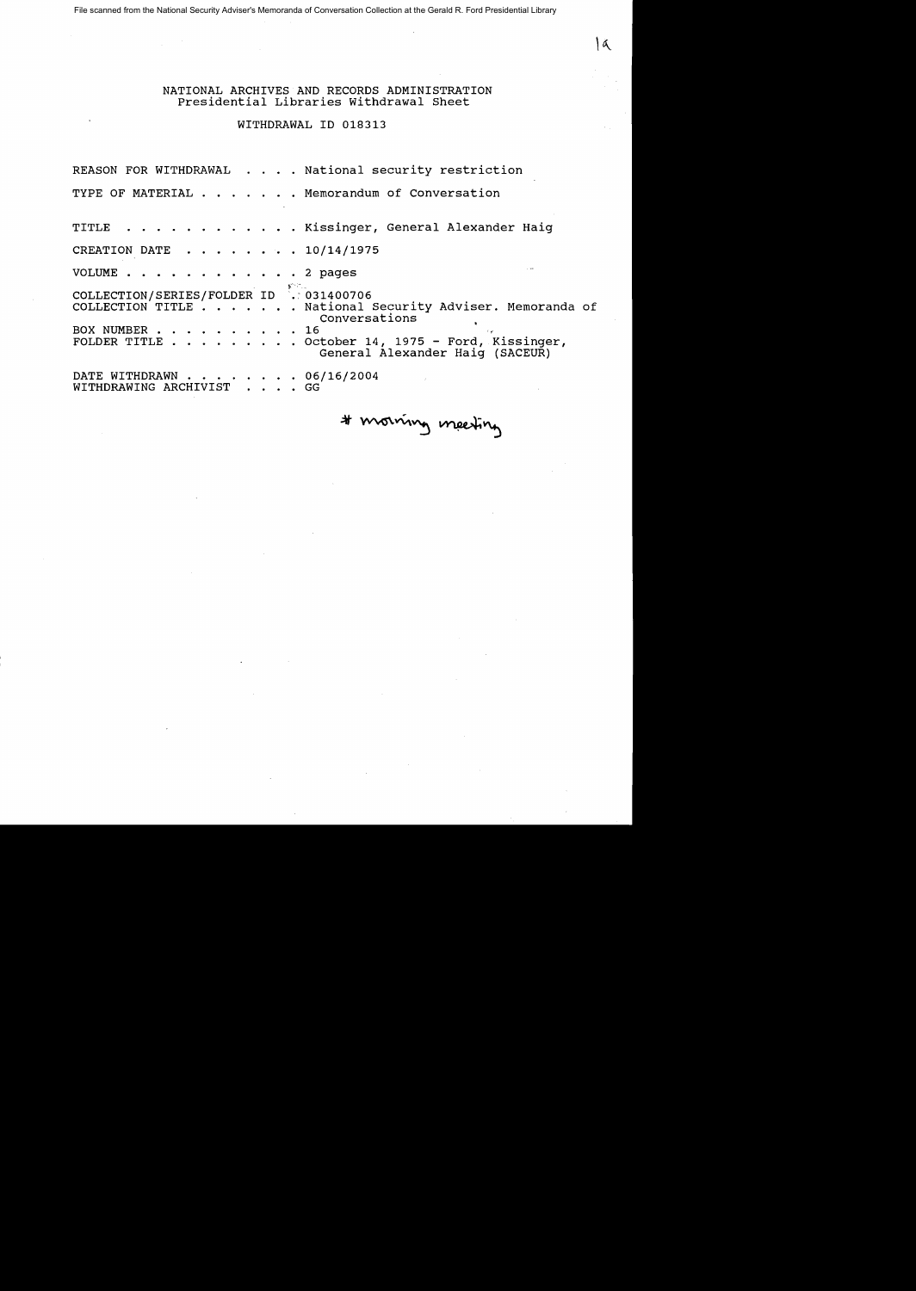File scanned from the National Security Adviser's Memoranda of Conversation Collection at the Gerald R. Ford Presidential Library

NATIONAL ARCHIVES AND RECORDS ADMINISTRATION Presidential Libraries withdrawal Sheet

## WITHDRAWAL ID 018313

REASON FOR WITHDRAWAL . . . . National security restriction TYPE OF MATERIAL . . . . . . Memorandum of Conversation TITLE . . . . . . . . . . . . Kissinger, General Alexander Haig CREATION DATE  $\cdot \cdot \cdot \cdot \cdot \cdot 10/14/1975$ VOLUME . . . . . . . . . . . . 2 pages COLLECTION/SERIES/FOLDER ID .: 031400706<br>COLLECTION TITLE . . . . . . National . National Security Adviser. Memoranda of Conversations<br>16. BOX NUMBER . . . . . .<br>FOLDER TITLE . . . . .  $\cdot$  October 14, 1975 - Ford, Kissinger, General Alexander Haig (SACEUR) DATE WITHDRAWN . . . . . . . . 06/16/2004<br>WITHDRAWING ARCHIVIST . . . . GG WITHDRAWING ARCHIVIST

# morning meeting

۱a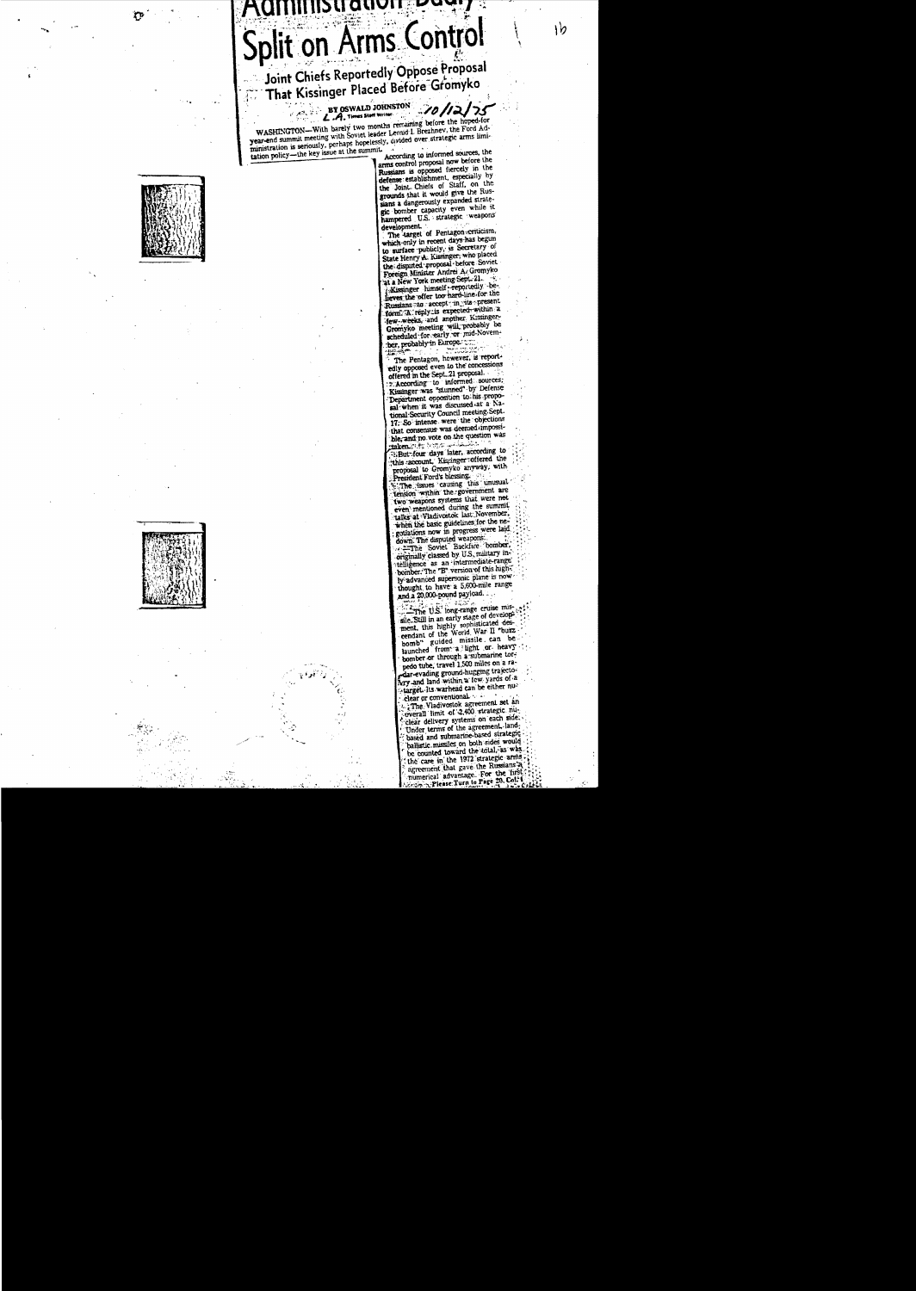# SU QUV Split on Arms Control

Joint Chiefs Reportedly Oppose Proposal That Kissinger Placed Before Gromyko

BY OSWALD JOHNSTON  $10/12$ L.A. Times Staff Writer

WASHINGTON-With barely two months remaining before the hoped-for<br>year-end summit meeting with Soviet leader Leonid I. Brezhnev, the Ford Adyear-end summu meeting with soviet reader Leonio 1. Dreznney, the rord Administration is seriously, perhaps hopelessly, divided over strategic arms limitation policy—the key issue at the summit.

According to informed sources, the arms control proposal now before the Russians is opposed fiercely in the russians is opposed nervery in the<br>defense establishment, especially by<br>the Joint-Chiefs of Staff, on the<br>grounds that it would give the Russians a dangerously expanded strategic bomber capacity even while it development.

 $1b$ 

The larget of Pentagon criticism, which only in recent days has begun to surface publicly, is Secretary of State Henry A. Kissinger, who placed Foreign Minister Andrei A. Gromyko at a New York meeting Sept. 21. Kissinger himself reportedly believes the offer too hard-line for the Russians ato accept in vita present. form. A reply is expected within a Gromyko meeting will probably be scheduled for early or mid-November, probably in Europe.

The Pentagon, however, is reportedly opposed even to the concessions offered in the Sept..21 proposal. Execording to informed sources; Department opposition to his proposal when it was discussed at a National Security Council meeting Sept. 17: So intense were the objections<br>that consensus was deemed impossible, and no vote on the question was taken mitt into

But four days later, according to this account. Kissinger offered the proposal to Gromyko anyway, with resident Ford's blessing.

The issues causing this unusual<br>tension within the government are two weapons systems that were not talks at Vladivostok last November, 

telligence as an intermediate-range bomber. The "B" version of this highly advanced supersonic plane is now thought to have a 5,600-mile range and a 20,000-pound payload.

The U.S. long-range cruise missle. Still in an early stage of develop-<br>sle. Still in an early stage of develop-<br>ment, this highly sophisticated des-<br>cendant of the World, War II "buzz bomb" guided missile can be launched from a light or heavy bomber or through a submarine torpedo tube, travel 1,500 miles on a radar-evading ground-hugging trajectotarget. Its warhead can be either nu-

clear or conventional. : The Vladivostok agreement set an overall limit of 2,400 strategic nuclear delivery systems on each side.<br>Under terms of the agreement, landbased and submarine-based strategic ballistic missiles on both sides would be counted toward the total, as was the case in the 1972 strategic arms agreement that gave the Russians a numerical advantage. For the first Please Turn to Page 20, Col.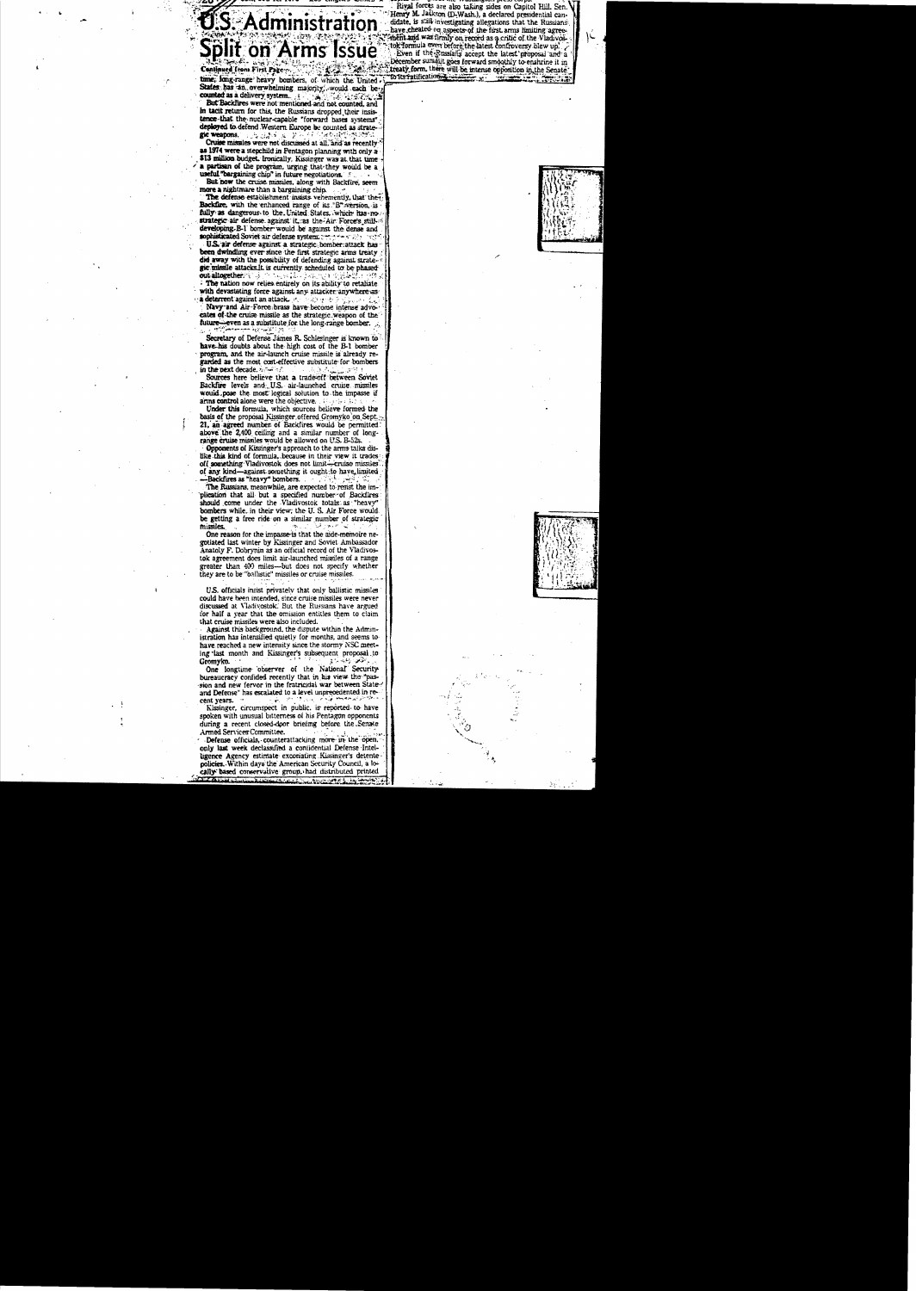S. Administration **Split on Arms Issue** 

Continued from First Pagetime, long-range heavy bombers, of which the United States has an overwhelming majority, would each be-

counted as a delivery system. ounted as a delivery system.<br>But Backfires were not mentioned and not counted, and in tacit return for this, the Russians dropped their insistence that the nuclear-capable "forward bases systems" deployed to defend Western Europe be counted as strategic weatons.  $\mathcal{O}_\mathbf{Z}$  ,  $\mathcal{O}_\mathbf{Z}$  ,  $\mathcal{O}_\mathbf{Z}$ ま 装字 Cruise missiles were not discussed at all, and as recently

as 1974 were a stepchild in Pentagon planning with only a \$13 million budget. Ironically, Kissinger was at that time a partisan of the program, urging that they would be a useful "bargaining chip" in future negotiations.

But now the cruise missiles, along with Backfire, seem more a nightmare than a bargaining chip.

The defense establishment insists vehemently, that the Backfire, with the enhanced range of its "B" wersion, is fully as dangerous to the United States. which has no strategic air defense against it as the Air Force's still developing B-1 bomber would be against the dense and sophisticated Soviet air defense system.

U.S. air defense against a strategic bomber attack has been dwinding ever since the first strategic arms treaty did away with the possibility of defending against strategic missile attacks It is currently scheduled to be phased out altogether. The nation now relies entirely on its ability to retaliate

with devastating force against any attacker anywhere asa deterrent against an attack.

Navy and Air-Force brass have become intense advocates of the cruise missile as the strategic weapon of the *future* even as a substitute for the long-range bomber.

Secretary of Defense James R. Schlesinger is known to have-his doubts about the high cost of the B-1 bomber program, and the air-launch cruise missile is already regarded as the most cost-effective substitute for bombers in the next decade. v.

Sources here believe that a trade-off between Soviet Backfire levels and U.S. air-launched cruise missiles would pose the most logical solution to the impasse if arms control alone were the objective.

Under this formula, which sources believe formed the basis of the proposal Kissinger offered Gromyko on Sept. 21, an agreed number of Backfires would be permitted above the 2,400 ceiling and a similar number of longrange cruise missiles would be allowed on U.S. B-52

Opponents of Kissinger's approach to the arms talks dislike this kind of formula, because in their view it trades off something Vladivostok does not limit-eruise missiles of any kind-against something it ought to have limited Backfires as "heavy" bombers.

The Russians, meanwhile, are expected to resist the implication that all but a specified number of Backfires should come under the Vladivostok totals as "heavy" bombers while, in their view; the U.S. Air Force would be getting a free ride on a similar number of strategic missiles

One reason for the impasse is that the aide-memoire negotiated last winter by Kissinger and Soviet Ambassador Anatoly F. Dobrynin as an official record of the Vladivostok agreement does limit air-launched missiles of a range greater than 400 miles-but does not specify whether they are to be "ballistic" missiles or cruise missiles.

U.S. officials insist privately that only ballistic missiles could have been intended, since cruise missiles were never discussed at Vladivostok. But the Russians have argued for half a year that the omission entitles them to claim that cruise missiles were also included.

Against this background, the dispute within the Administration has intensified quietly for months, and seems tohave reached a new intensity since the stormy NSC meeting last month and Kissinger's subsequent proposal to Gromyko.

One longtime observer of the National Security bureaucracy confided recently that in his view the "passion and new fervor in the fratricidal war between Stateand Defense" has escalated to a level unprecedented in recent years.

Kissinger, circumspect in public, is reported to have spoken with unusual bitterness of his Pentagon opponents during a recent closed-door briefing before the Senate Armed Services Committee.

Defense officials, counterattacking more in the open. only last week declassified a confidential Defense Intelligence Agency estimate excoriating Kissinger's detente policies. Within days the American Security Council, a locally based conservative group, had distributed printed

Rival forces are also taking sides on Capitol Hill. Sen.<br>Henry M. Jackson (D-Wash.), a declared presidential candidate, is still investigating allegations that the Russians have cheated on aspects of the first arms limiting agreethe cluence of supposes we have a critic of the Vladivos-<br>to formula even before the latest confroversy blew up. December summit goes forward smoothly to enshrine it in treatly form, there will be intense opposition in the Senate<br>"to its ratifications will be intense opposition in the Senate"

IL.

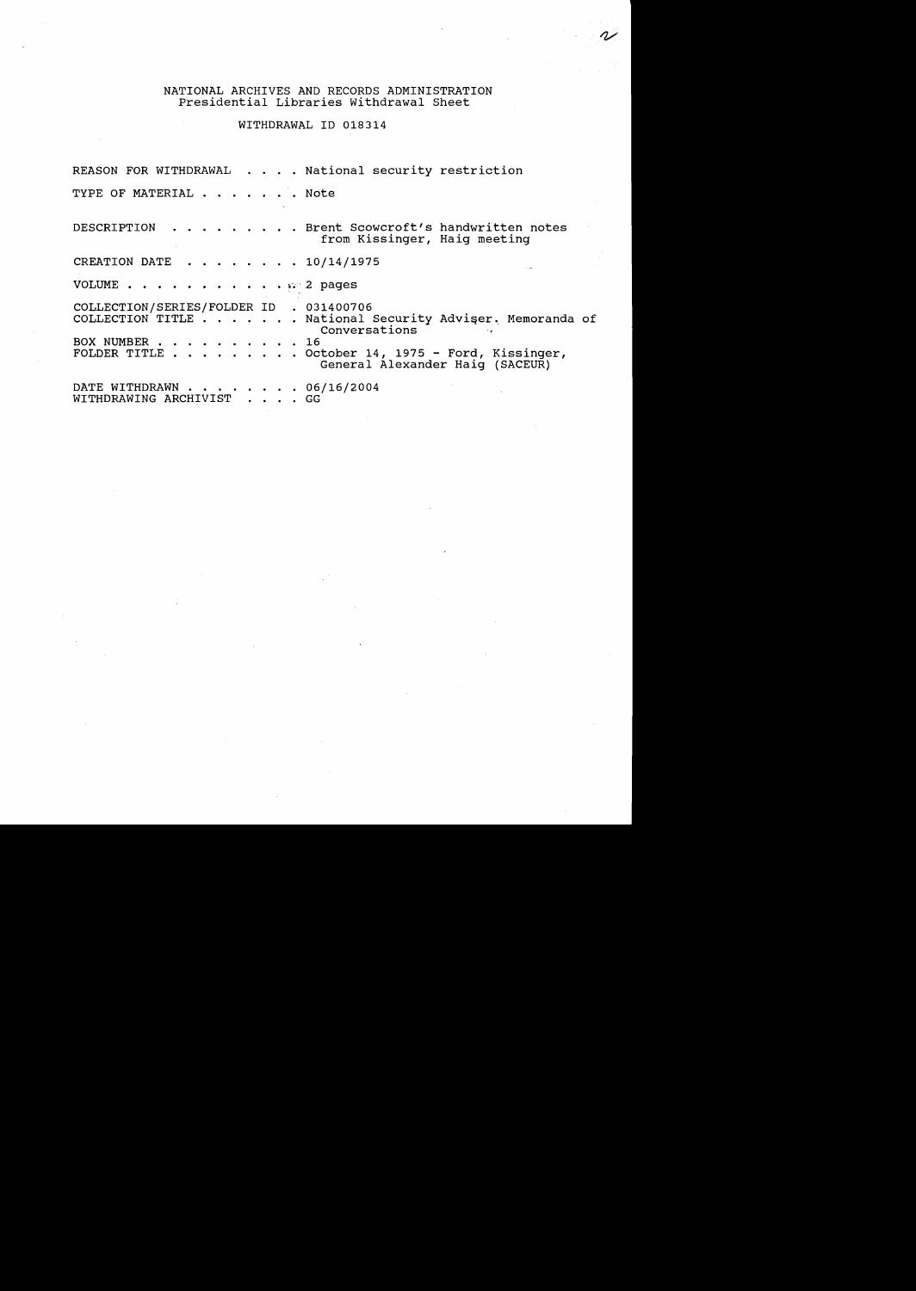#### NATIONAL ARCHIVES AND RECORDS ADMINISTRATION Presidential Libraries withdrawal Sheet

## WITHDRAWAL 10 018314

REASON FOR WITHDRAWAL . . . . National security restriction TYPE OF MATERIAL . . . . . . Note DESCRIPTION . . . . . . . . Brent Scowcroft's handwritten notes from Kissinger, Haig meeting CREATION DATE  $\cdot \cdot \cdot \cdot \cdot \cdot 10/14/1975$ VOLUME . . . . . . . . . . . .  $\mathbb{R}^2$  pages COLLECTION/SERIES/FOLDER ID . 031400706<br>COLLECTION TITLE . . . . . . . National COLLECTION/SERIES/FOLDER ID . 031400706<br>COLLECTION TITLE . . . . . . . National Security Adviser. Memoranda of Conversations<br>16 COLLECTION TITLE . . . . .<br>BOX NUMBER . . . . . . . .<br>FOLDER TITLE . . . . . . . FOLDER TITLE . . . . . . . . . . October 14, 1975 - Ford, Kissinger, General Alexander Haig (SACEUR) DATE WITHDRAWN . . . . . . .<br>WITHDRAWING ARCHIVIST . . . · . GG  $\cdot \cdot \cdot 06/16/2004$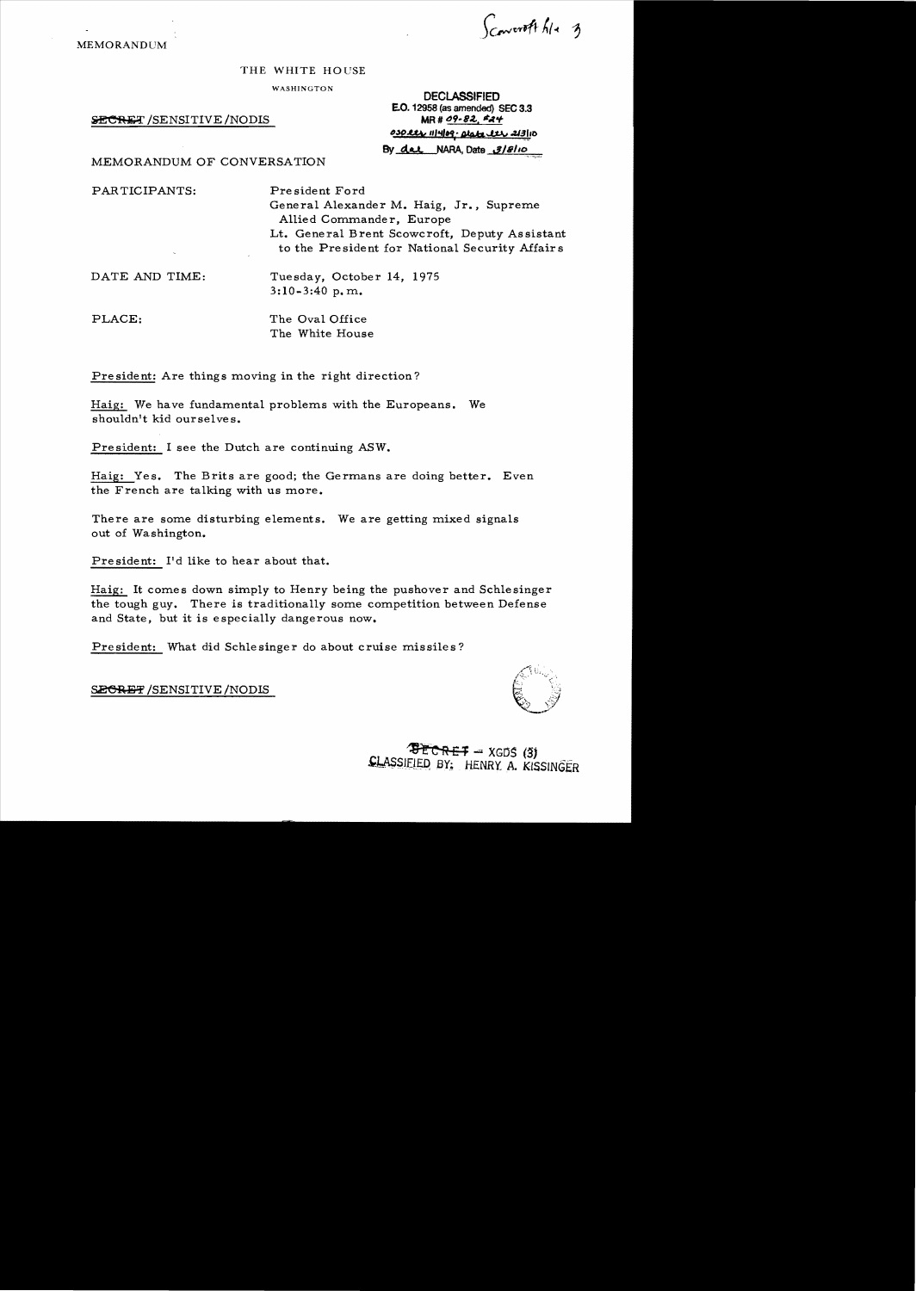Convert file 3

MEMORANDUM

#### THE WHITE HOUSE

WASHINGTON

SECRET /SENSITIVE /NODIS

| <b>DECLASSIFIED</b>             |  |
|---------------------------------|--|
| E.O. 12958 (as amended) SEC 3.3 |  |
| MR # 09-82, #24                 |  |
| 030 les 111409. Date les 213110 |  |
| By dat NARA, Date 3/8/10        |  |
|                                 |  |

MEMORANDUM OF CONVERSATION

PARTICIPANTS: Pre sident Ford General Alexander M. Haig, Jr., Supreme Allied Commander, Europe Lt. General Brent Scowcroft, Deputy Assistant to the Pre sident for National Security Affair s DATE AND TIME: Tuesday, October 14, 1975 3:10-3:40 p. m. PLACE: The Oval Office The White House

President: Are things moving in the right direction?

Haig: We have fundamental problems with the Europeans. We shouldn't kid ourselves.

President: I see the Dutch are continuing ASW.

Haig: Yes. The Brits are good; the Germans are doing better. Even the French are talking with us more.

There are some disturbing elements. We are getting mixed signals out of Washington.

President: I'd like to hear about that.

Haig: It comes down simply to Henry being the pushover and Schlesinger the tough guy. There is traditionally some competition between Defense and State, but it is especially dangerous now.

President: What did Schlesinger do about cruise missiles?

SECRET / SENSITIVE / NODIS

 $F<sub>E</sub>$   $F<sub>F</sub>$   $F = XGDS$  (3) **CLASSIEIED BY: HENRY A. KISSINGER**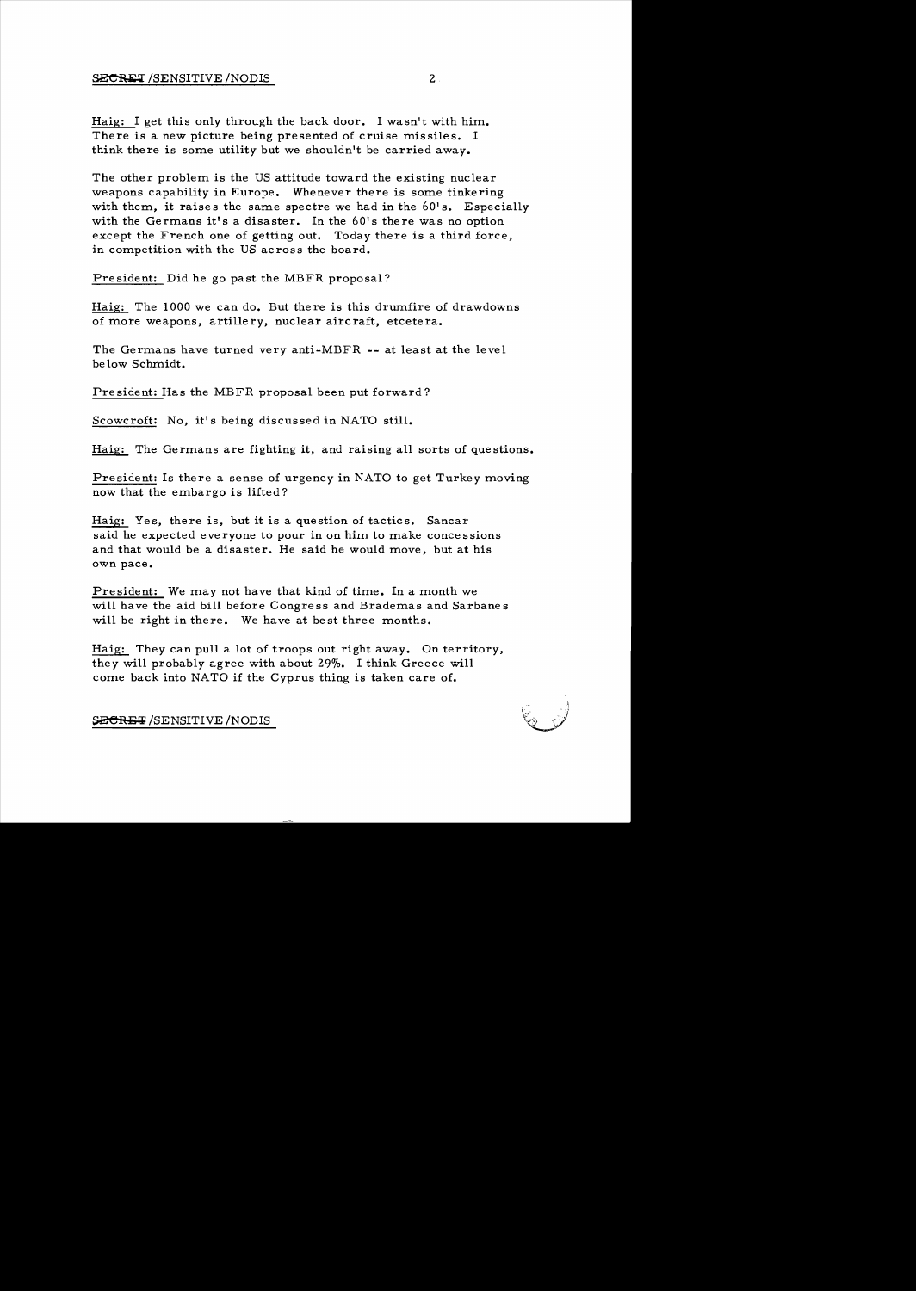Haig: I get this only through the back door. I wasn't with him. There is a new picture being presented of cruise missiles. I think there is some utility but we shouldn't be carried away.

The other problem is the US attitude toward the existing nuclear weapons capability in Europe. Whenever there is some tinkering with them, it raises the same spectre we had in the  $60's$ . Especially with the Germans it's a disaster. In the 60's there was no option except the French one of getting out. Today there is a third force, in competition with the US across the board.

President: Did he go past the MBFR proposal?

Haig: The 1000 we can do. But there is this drumfire of drawdowns of more weapons, artillery, nuclear aircraft, etcetera.

The Germans have turned very anti-MBFR  $-$ - at least at the level be low Schmidt.

President: Has the MBFR proposal been put forward?

Scowcroft: No, it's being discussed in NATO still.

Haig: The Germans are fighting it, and raising all sorts of questions.

President: Is there a sense of urgency in NATO to get Turkey moving now that the embargo is lifted?

Haig: Yes, there is, but it is a question of tactics. Sancar said he expected everyone to pour in on him to make concessions and that would be a disaster. He said he would move, but at his own pace.

President: We may not have that kind of time. In a month we will have the aid bill before Congress and Brademas and Sarbanes will be right in there. We have at best three months.

Haig: They can pull a lot of troops out right away. On territory, they will probably agree with about 29%. I think Greece will come back into NATO if the Cyprus thing is taken care of.

SECRET/SENSITIVE/NODIS

.

 $\bar{\varphi}$ . J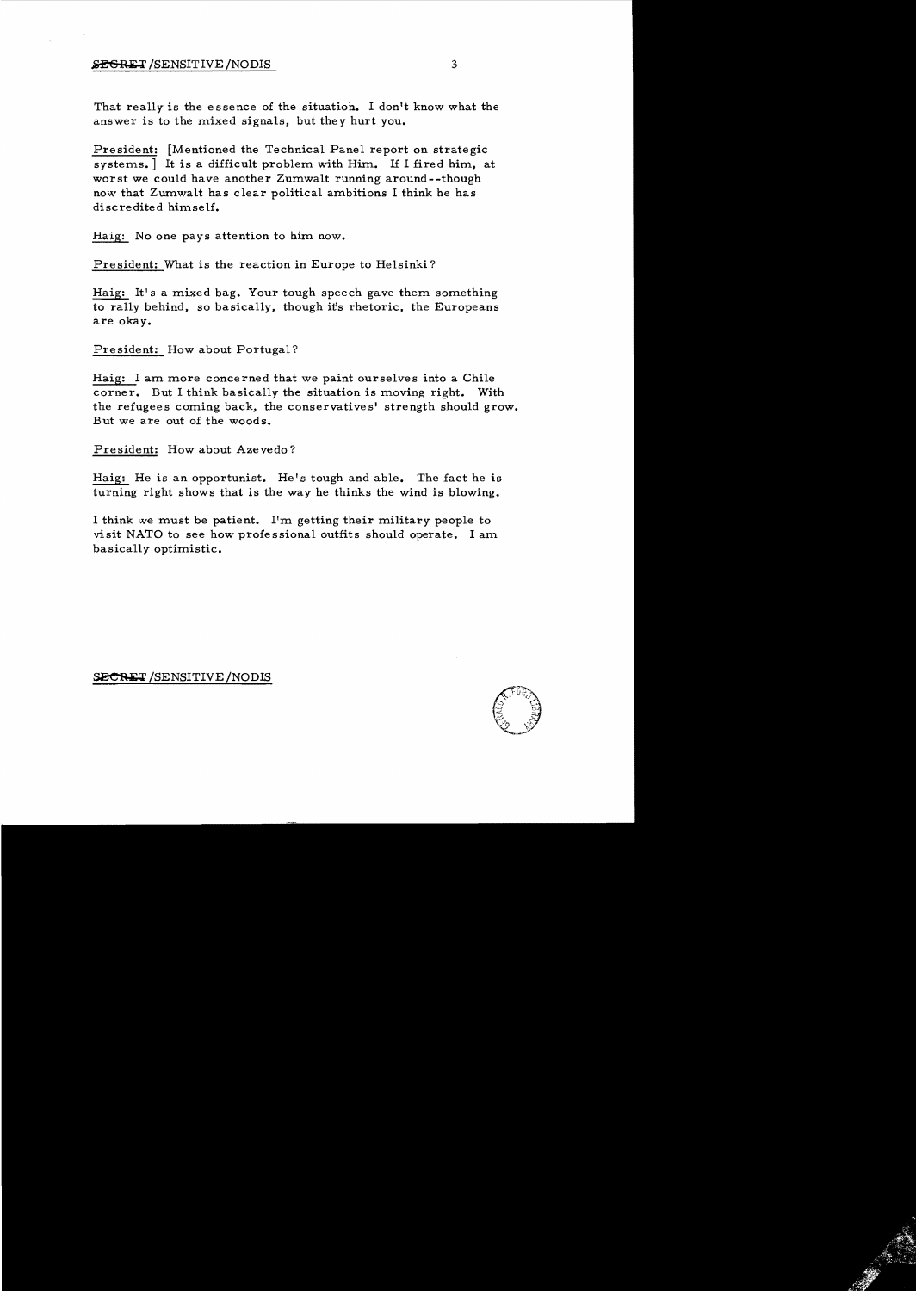## **EXERET** /SENSITIVE /NODIS 3

That really is the essence of the situation. I don't know what the answer is to the mixed signals, but they hurt you.

President: [Mentioned the Technical Panel report on strategic systems.] It is a difficult problem with Him. If I fired him, at worst we could have another Zumwalt running around--though now that Zumwalt has clear political ambitions I think he has discredited himself.

Haig: No one pays attention to him now.

President: What is the reaction in Europe to Helsinki?

Haig: It's a mixed bag. Your tough speech gave them something to rally behind, so basically, though it's rhetoric, the Europeans are okay.

President: How about Portugal?

Haig: I am more concerned that we paint ourselves into a Chile corner. But I think basically the situation is moving right. With the refugees coming back, the conservatives' strength should grow. But we are out of the woods.

President: How about Azevedo?

Haig: He is an opportunist. He's tough and able. The fact he is turning right shows that is the way he thinks the wind is blowing.

I think ne must be patient. I'm getting their military people to visit NATO to see how professional outfits should operate. I am basically optimistic.

SECRET /SENSITIVE /NODIS

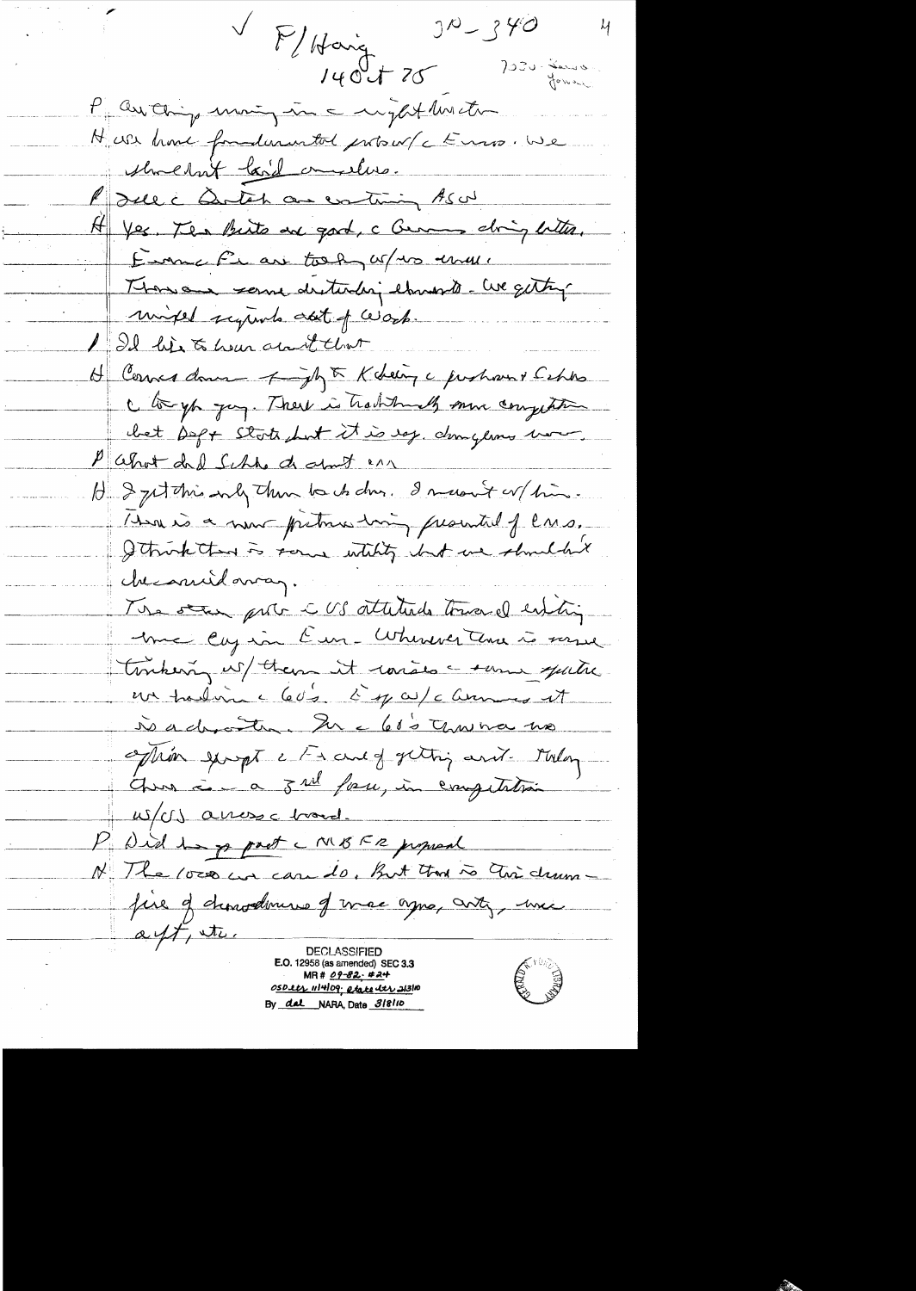$J^{\prime\prime} - J^{\prime\prime}$  $-\frac{\mu}{4}$ V F/Haig 7030 - Service  $140 + 75$ P au ching moing in a might his et H US home foundation tol protocof c Euros We shoehat bail amelies. P) sure a Dontoh an continuing As of H Yes Ten Birts are good, a Curry ching bitter. Eurne Fran took us us une Thousan serve destending etmos to - We getting mixed symb ast of work. 1 Il his to hear about that H Corner donc - fight Kdeing a justion & Capto C to you you. There is traditionally more competition bet Dept State but it is egg, dangerous word. Pahot del Sche de dont en H 3 get this only then to do due. I massive w/ him. How is a new pretience him promited of lars. I think then is some whility but we shouldn't che amidavan. The star prote - US attitude toward entire Me Cay in Cur - Wherever three is verse tombering us/ them it raises a some quite un tradin c 60's à 1 commes et Nachostra Incluso Thursda extrêm george a France of getting and - Melong-Ones i a sul face, in competition W/US arross c broad. P. Did 12 p part c MBFR proposal N The loss we can to, But that is this drum fire of dimodernie of mac agre, anty, mic  $\alpha$  eft, ite. DECLASSIFIEI E.O. 12958 (as amended) SEC 3.3 E SUD  $MR# 09 - 82 - 424$ OSDetr 1114109; etatedtr 21310 By dal NARA, Date 318110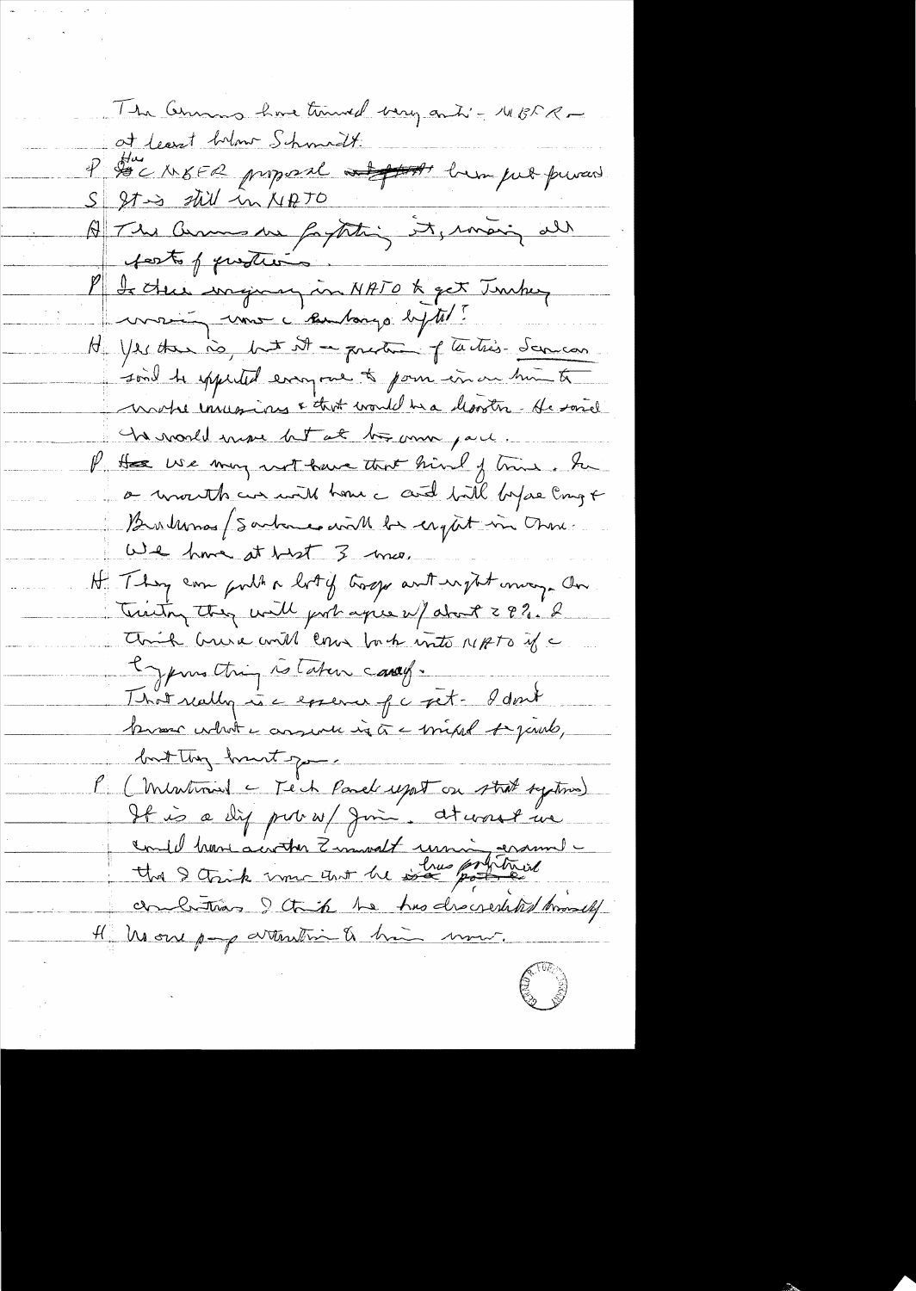The Cennis have termed very anti-1185 R of least bring Schmodt. P De NEFR proposal at faith been just privacy  $S \left| \begin{array}{ccc} 2T \rightarrow 3 & \frac{1}{2} \frac{1}{2} \frac{1}{2} \frac{1}{2} \frac{1}{2} \frac{1}{2} \frac{1}{2} \frac{1}{2} \frac{1}{2} \frac{1}{2} \frac{1}{2} \frac{1}{2} \frac{1}{2} \frac{1}{2} \frac{1}{2} \frac{1}{2} \frac{1}{2} \frac{1}{2} \frac{1}{2} \frac{1}{2} \frac{1}{2} \frac{1}{2} \frac{1}{2} \frac{1}{2} \frac{1}{2} \frac{1}{2} \frac{1}{2} \frac{1}{2} \frac{1}{$ A The Cerminale fagtiting it, main all P Is there waging in NATO & get Turkey unsim une c'autorys bytel! He yes there is, but it and a prestice of the this- Sciences sond to special everyone to pour en on him to martre incessions & that would ha a llooster. He sorrel he morell more but at the more pare. If there we may not have that hind of trine. In a would cur will home and bill before Empt Burlins / Sarbones with be engthet in Ohm. We have at hest 3 mo. H. Thong can gout a lot of trage ant urght may an Tuesting they will probagies up about 29%. I Think have will come buch into MATO if a Typinsthing is laten candy. I hat really in a copena of c pet - I don't know what a conserver in à a bright to parte, but they hart go P (Mentionnel c Teich Paral uport on stat system) und have accorder Zemwalt union anannel conclutions I think he has droughted himself Il nou page attention & him mont.